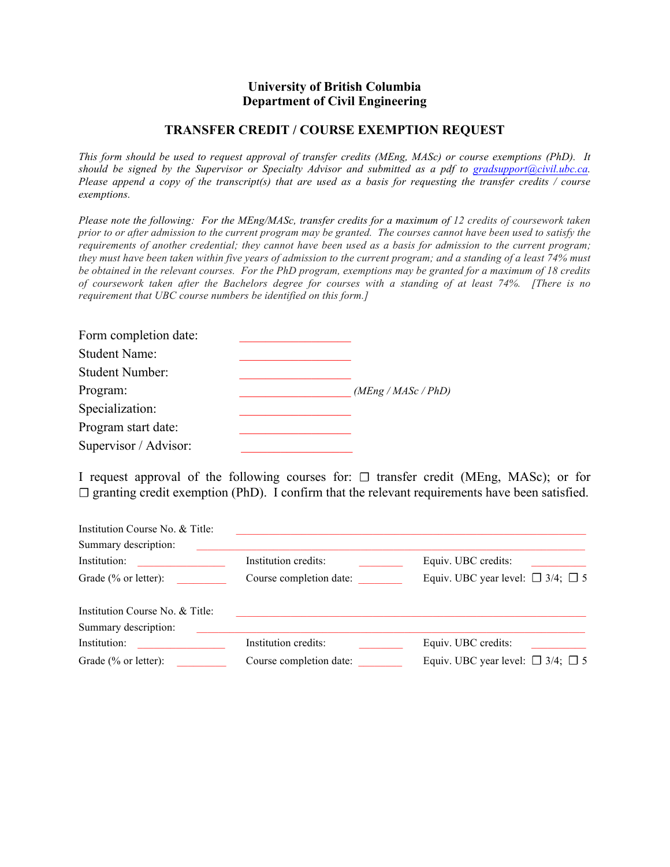## **University of British Columbia Department of Civil Engineering**

## **TRANSFER CREDIT / COURSE EXEMPTION REQUEST**

*This form should be used to request approval of transfer credits (MEng, MASc) or course exemptions (PhD). It should be signed by the Supervisor or Specialty Advisor and submitted as a pdf to gradsupport@civil.ubc.ca. Please append a copy of the transcript(s) that are used as a basis for requesting the transfer credits / course exemptions.*

*Please note the following: For the MEng/MASc, transfer credits for a maximum of 12 credits of coursework taken prior to or after admission to the current program may be granted. The courses cannot have been used to satisfy the requirements of another credential; they cannot have been used as a basis for admission to the current program; they must have been taken within five years of admission to the current program; and a standing of a least 74% must be obtained in the relevant courses. For the PhD program, exemptions may be granted for a maximum of 18 credits of coursework taken after the Bachelors degree for courses with a standing of at least 74%. [There is no requirement that UBC course numbers be identified on this form.]*

| Form completion date:  |                     |
|------------------------|---------------------|
| <b>Student Name:</b>   |                     |
| <b>Student Number:</b> |                     |
| Program:               | (MEng / MASC / PhD) |
| Specialization:        |                     |
| Program start date:    |                     |
| Supervisor / Advisor:  |                     |

I request approval of the following courses for:  $\Box$  transfer credit (MEng, MASc); or for  $\Box$  granting credit exemption (PhD). I confirm that the relevant requirements have been satisfied.

| Institution Course No. & Title: |                         |                                             |
|---------------------------------|-------------------------|---------------------------------------------|
| Summary description:            |                         |                                             |
| Institution:                    | Institution credits:    | Equiv. UBC credits:                         |
| Grade (% or letter):            | Course completion date: | Equiv. UBC year level: $\Box$ 3/4; $\Box$ 5 |
| Institution Course No. & Title: |                         |                                             |
| Summary description:            |                         |                                             |
| Institution:                    | Institution credits:    | Equiv. UBC credits:                         |
| Grade (% or letter):            | Course completion date: | Equiv. UBC year level: $\Box$ 3/4; $\Box$ 5 |